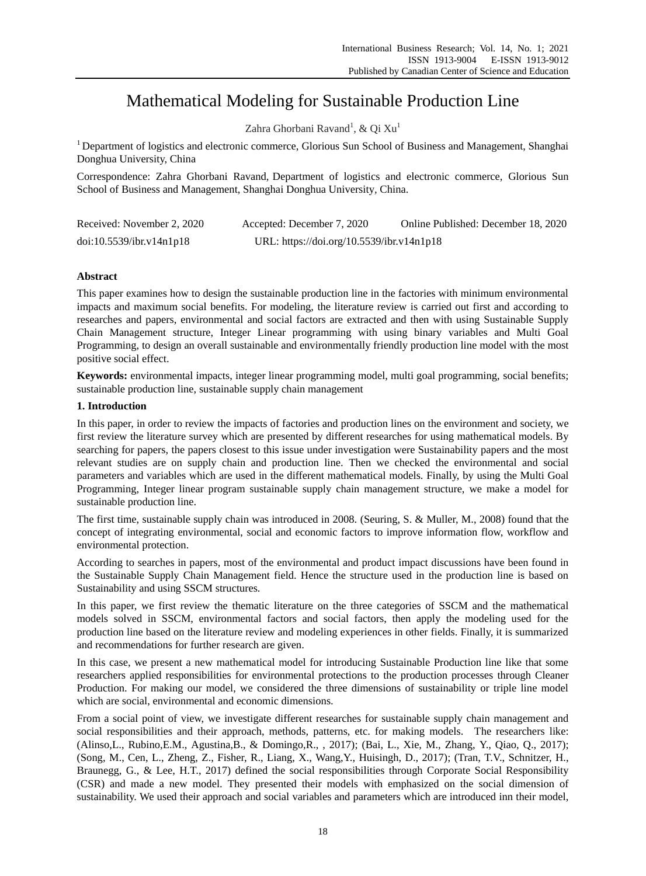# Mathematical Modeling for Sustainable Production Line

Zahra Ghorbani Ravand<sup>1</sup>, & Qi Xu<sup>1</sup>

<sup>1</sup> Department of logistics and electronic commerce, Glorious Sun School of Business and Management, Shanghai Donghua University, China

Correspondence: Zahra Ghorbani Ravand, Department of logistics and electronic commerce, Glorious Sun School of Business and Management, Shanghai Donghua University*,* China.

| Received: November 2, 2020 | Accepted: December 7, 2020                | Online Published: December 18, 2020 |
|----------------------------|-------------------------------------------|-------------------------------------|
| doi:10.5539/ibr.v14n1p18   | URL: https://doi.org/10.5539/ibr.v14n1p18 |                                     |

# **Abstract**

This paper examines how to design the sustainable production line in the factories with minimum environmental impacts and maximum social benefits. For modeling, the literature review is carried out first and according to researches and papers, environmental and social factors are extracted and then with using Sustainable Supply Chain Management structure, Integer Linear programming with using binary variables and Multi Goal Programming, to design an overall sustainable and environmentally friendly production line model with the most positive social effect.

**Keywords:** environmental impacts, integer linear programming model, multi goal programming, social benefits; sustainable production line, sustainable supply chain management

## **1. Introduction**

In this paper, in order to review the impacts of factories and production lines on the environment and society, we first review the literature survey which are presented by different researches for using mathematical models. By searching for papers, the papers closest to this issue under investigation were Sustainability papers and the most relevant studies are on supply chain and production line. Then we checked the environmental and social parameters and variables which are used in the different mathematical models. Finally, by using the Multi Goal Programming, Integer linear program sustainable supply chain management structure, we make a model for sustainable production line.

The first time, sustainable supply chain was introduced in 2008. (Seuring, S. & Muller, M., 2008) found that the concept of integrating environmental, social and economic factors to improve information flow, workflow and environmental protection.

According to searches in papers, most of the environmental and product impact discussions have been found in the Sustainable Supply Chain Management field. Hence the structure used in the production line is based on Sustainability and using SSCM structures.

In this paper, we first review the thematic literature on the three categories of SSCM and the mathematical models solved in SSCM, environmental factors and social factors, then apply the modeling used for the production line based on the literature review and modeling experiences in other fields. Finally, it is summarized and recommendations for further research are given.

In this case, we present a new mathematical model for introducing Sustainable Production line like that some researchers applied responsibilities for environmental protections to the production processes through Cleaner Production. For making our model, we considered the three dimensions of sustainability or triple line model which are social, environmental and economic dimensions.

From a social point of view, we investigate different researches for sustainable supply chain management and social responsibilities and their approach, methods, patterns, etc. for making models. The researchers like: (Alinso,L., Rubino,E.M., Agustina,B., & Domingo,R., , 2017); (Bai, L., Xie, M., Zhang, Y., Qiao, Q., 2017); (Song, M., Cen, L., Zheng, Z., Fisher, R., Liang, X., Wang,Y., Huisingh, D., 2017); (Tran, T.V., Schnitzer, H., Braunegg, G., & Lee, H.T., 2017) defined the social responsibilities through Corporate Social Responsibility (CSR) and made a new model. They presented their models with emphasized on the social dimension of sustainability. We used their approach and social variables and parameters which are introduced inn their model,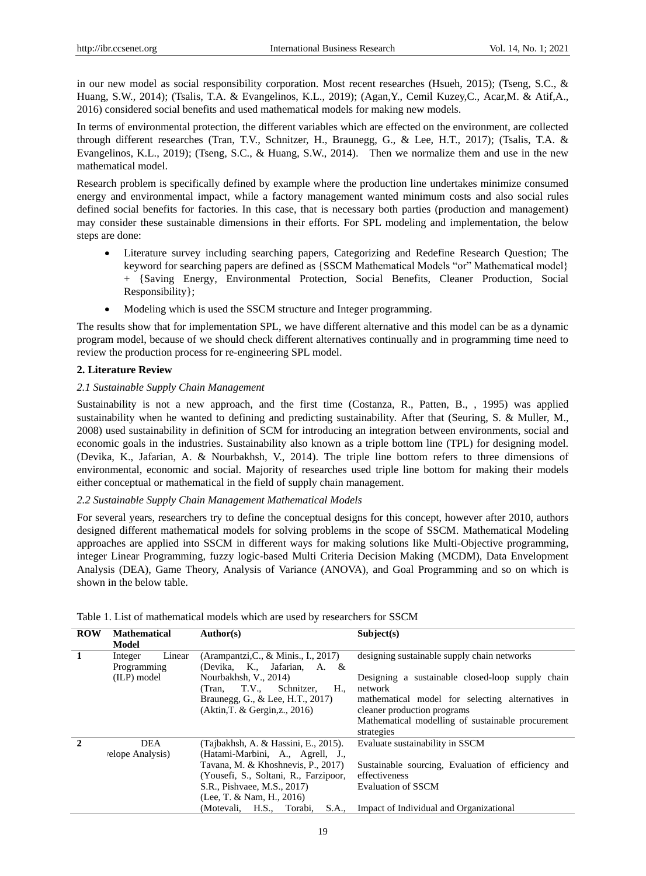in our new model as social responsibility corporation. Most recent researches (Hsueh, 2015); (Tseng, S.C., & Huang, S.W., 2014); (Tsalis, T.A. & Evangelinos, K.L., 2019); (Agan,Y., Cemil Kuzey,C., Acar,M. & Atif,A., 2016) considered social benefits and used mathematical models for making new models.

In terms of environmental protection, the different variables which are effected on the environment, are collected through different researches (Tran, T.V., Schnitzer, H., Braunegg, G., & Lee, H.T., 2017); (Tsalis, T.A. & Evangelinos, K.L., 2019); (Tseng, S.C., & Huang, S.W., 2014). Then we normalize them and use in the new mathematical model.

Research problem is specifically defined by example where the production line undertakes minimize consumed energy and environmental impact, while a factory management wanted minimum costs and also social rules defined social benefits for factories. In this case, that is necessary both parties (production and management) may consider these sustainable dimensions in their efforts. For SPL modeling and implementation, the below steps are done:

- Literature survey including searching papers, Categorizing and Redefine Research Question; The keyword for searching papers are defined as {SSCM Mathematical Models "or" Mathematical model} + {Saving Energy, Environmental Protection, Social Benefits, Cleaner Production, Social Responsibility};
- Modeling which is used the SSCM structure and Integer programming.

The results show that for implementation SPL, we have different alternative and this model can be as a dynamic program model, because of we should check different alternatives continually and in programming time need to review the production process for re-engineering SPL model.

## **2. Literature Review**

## *2.1 Sustainable Supply Chain Management*

Sustainability is not a new approach, and the first time (Costanza, R., Patten, B., , 1995) was applied sustainability when he wanted to defining and predicting sustainability. After that (Seuring, S. & Muller, M., 2008) used sustainability in definition of SCM for introducing an integration between environments, social and economic goals in the industries. Sustainability also known as a triple bottom line (TPL) for designing model. (Devika, K., Jafarian, A. & Nourbakhsh, V., 2014). The triple line bottom refers to three dimensions of environmental, economic and social. Majority of researches used triple line bottom for making their models either conceptual or mathematical in the field of supply chain management.

## *2.2 Sustainable Supply Chain Management Mathematical Models*

For several years, researchers try to define the conceptual designs for this concept, however after 2010, authors designed different mathematical models for solving problems in the scope of SSCM. Mathematical Modeling approaches are applied into SSCM in different ways for making solutions like Multi-Objective programming, integer Linear Programming, fuzzy logic-based Multi Criteria Decision Making (MCDM), Data Envelopment Analysis (DEA), Game Theory, Analysis of Variance (ANOVA), and Goal Programming and so on which is shown in the below table.

| <b>ROW</b> | <b>Mathematical</b><br>Model                    | Author(s)                                                                                                                                                                                                                                                | Subject(s)                                                                                                                                                                                                                                                       |
|------------|-------------------------------------------------|----------------------------------------------------------------------------------------------------------------------------------------------------------------------------------------------------------------------------------------------------------|------------------------------------------------------------------------------------------------------------------------------------------------------------------------------------------------------------------------------------------------------------------|
|            | Linear<br>Integer<br>Programming<br>(ILP) model | (Arampantzi, C., & Minis., I., 2017)<br>(Devika, K., Jafarian,<br>A. &<br>Nourbakhsh, V., 2014)<br><b>T.V.,</b><br>H.,<br>Schnitzer,<br>(Tran.<br>Braunegg, G., & Lee, H.T., 2017)<br>(Aktin, T. & Gergin, z., 2016)                                     | designing sustainable supply chain networks<br>Designing a sustainable closed-loop supply chain<br>network<br>mathematical model for selecting alternatives in<br>cleaner production programs<br>Mathematical modelling of sustainable procurement<br>strategies |
|            | <b>DEA</b><br><i>relope Analysis</i> )          | (Tajbakhsh, A. & Hassini, E., 2015).<br>(Hatami-Marbini, A., Agrell, J.,<br>Tavana, M. & Khoshnevis, P., 2017)<br>(Yousefi, S., Soltani, R., Farzipoor,<br>S.R., Pishvaee, M.S., 2017)<br>(Lee, T. & Nam, H., 2016)<br>(Motevali, H.S., Torabi,<br>S.A., | Evaluate sustainability in SSCM<br>Sustainable sourcing, Evaluation of efficiency and<br>effectiveness<br><b>Evaluation of SSCM</b><br>Impact of Individual and Organizational                                                                                   |

Table 1. List of mathematical models which are used by researchers for SSCM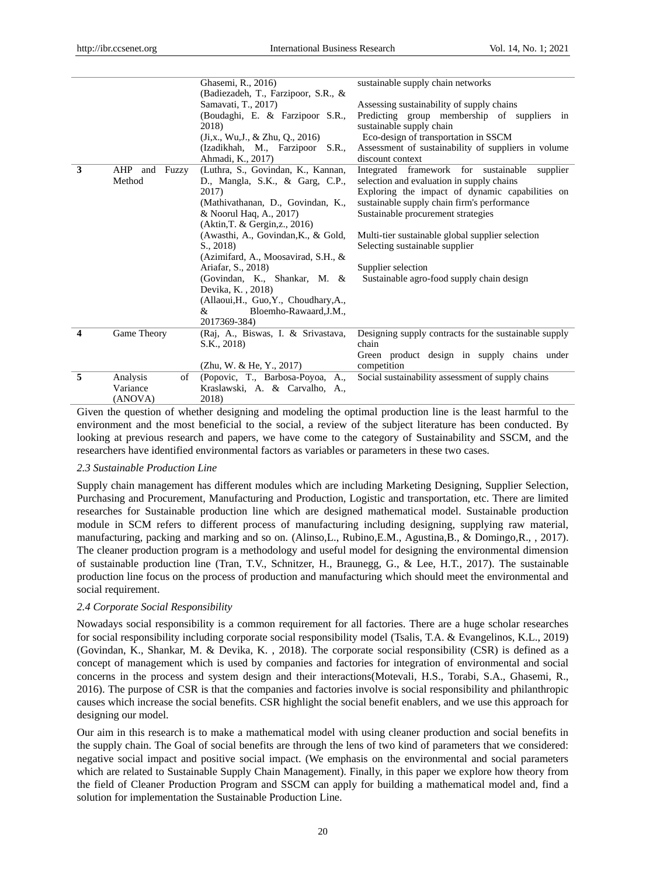|                         |                     | Ghasemi, R., 2016)<br>(Badiezadeh, T., Farzipoor, S.R., & | sustainable supply chain networks                                       |
|-------------------------|---------------------|-----------------------------------------------------------|-------------------------------------------------------------------------|
|                         |                     | Samavati, T., 2017)                                       |                                                                         |
|                         |                     |                                                           | Assessing sustainability of supply chains                               |
|                         |                     | (Boudaghi, E. & Farzipoor S.R.,<br>2018)                  | Predicting group membership of suppliers in<br>sustainable supply chain |
|                         |                     | $(J_{1,X}$ , Wu, J., & Zhu, Q., 2016)                     | Eco-design of transportation in SSCM                                    |
|                         |                     | (Izadikhah, M., Farzipoor<br>S.R.,                        | Assessment of sustainability of suppliers in volume                     |
|                         |                     | Ahmadi, K., 2017)                                         | discount context                                                        |
| 3                       | AHP<br>Fuzzy<br>and | (Luthra, S., Govindan, K., Kannan,                        | Integrated framework for sustainable<br>supplier                        |
|                         | Method              | D., Mangla, S.K., & Garg, C.P.,                           | selection and evaluation in supply chains                               |
|                         |                     | 2017)                                                     | Exploring the impact of dynamic capabilities on                         |
|                         |                     | (Mathivathanan, D., Govindan, K.,                         | sustainable supply chain firm's performance                             |
|                         |                     | & Noorul Haq, A., 2017)                                   | Sustainable procurement strategies                                      |
|                         |                     | (Aktin, T. & Gergin, z., 2016)                            |                                                                         |
|                         |                     | (Awasthi, A., Govindan, K., & Gold,                       | Multi-tier sustainable global supplier selection                        |
|                         |                     | $S_{1, 2018}$                                             | Selecting sustainable supplier                                          |
|                         |                     | (Azimifard, A., Moosavirad, S.H., &                       |                                                                         |
|                         |                     | Ariafar, S., 2018)                                        | Supplier selection                                                      |
|                         |                     | (Govindan, K., Shankar, M. &                              | Sustainable agro-food supply chain design                               |
|                         |                     | Devika, K., 2018)                                         |                                                                         |
|                         |                     | (Allaoui, H., Guo, Y., Choudhary, A.,                     |                                                                         |
|                         |                     | Bloemho-Rawaard, J.M.,<br>&                               |                                                                         |
|                         |                     | 2017369-384)                                              |                                                                         |
| $\overline{\mathbf{4}}$ | Game Theory         | (Raj, A., Biswas, I. & Srivastava,                        | Designing supply contracts for the sustainable supply                   |
|                         |                     | S.K., 2018)                                               | chain                                                                   |
|                         |                     |                                                           | Green product design in supply chains under                             |
|                         |                     | (Zhu, W. & He, Y., 2017)                                  | competition                                                             |
| 5                       | Analysis<br>of      | (Popovic, T., Barbosa-Poyoa, A.,                          | Social sustainability assessment of supply chains                       |
|                         | Variance            | Kraslawski, A. & Carvalho, A.,                            |                                                                         |
|                         | (ANOVA)             | 2018)                                                     |                                                                         |
|                         |                     |                                                           |                                                                         |

Given the question of whether designing and modeling the optimal production line is the least harmful to the environment and the most beneficial to the social, a review of the subject literature has been conducted. By looking at previous research and papers, we have come to the category of Sustainability and SSCM, and the researchers have identified environmental factors as variables or parameters in these two cases.

#### *2.3 Sustainable Production Line*

Supply chain management has different modules which are including Marketing Designing, Supplier Selection, Purchasing and Procurement, Manufacturing and Production, Logistic and transportation, etc. There are limited researches for Sustainable production line which are designed mathematical model. Sustainable production module in SCM refers to different process of manufacturing including designing, supplying raw material, manufacturing, packing and marking and so on. (Alinso,L., Rubino,E.M., Agustina,B., & Domingo,R., , 2017). The cleaner production program is a methodology and useful model for designing the environmental dimension of sustainable production line (Tran, T.V., Schnitzer, H., Braunegg, G., & Lee, H.T., 2017). The sustainable production line focus on the process of production and manufacturing which should meet the environmental and social requirement.

#### *2.4 Corporate Social Responsibility*

Nowadays social responsibility is a common requirement for all factories. There are a huge scholar researches for social responsibility including corporate social responsibility model (Tsalis, T.A. & Evangelinos, K.L., 2019) (Govindan, K., Shankar, M. & Devika, K. , 2018). The corporate social responsibility (CSR) is defined as a concept of management which is used by companies and factories for integration of environmental and social concerns in the process and system design and their interactions(Motevali, H.S., Torabi, S.A., Ghasemi, R., 2016). The purpose of CSR is that the companies and factories involve is social responsibility and philanthropic causes which increase the social benefits. CSR highlight the social benefit enablers, and we use this approach for designing our model.

Our aim in this research is to make a mathematical model with using cleaner production and social benefits in the supply chain. The Goal of social benefits are through the lens of two kind of parameters that we considered: negative social impact and positive social impact. (We emphasis on the environmental and social parameters which are related to Sustainable Supply Chain Management). Finally, in this paper we explore how theory from the field of Cleaner Production Program and SSCM can apply for building a mathematical model and, find a solution for implementation the Sustainable Production Line.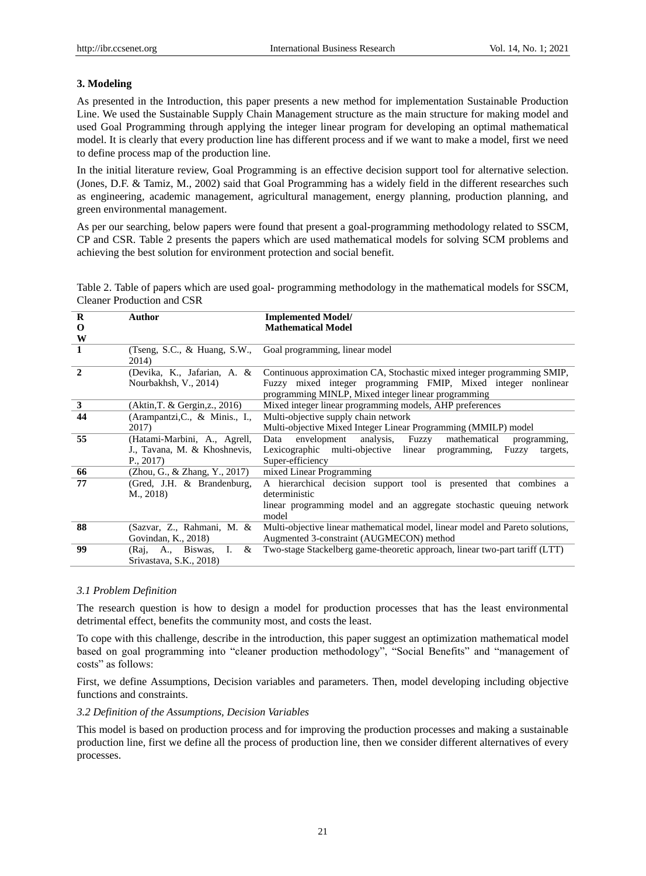# **3. Modeling**

As presented in the Introduction, this paper presents a new method for implementation Sustainable Production Line. We used the Sustainable Supply Chain Management structure as the main structure for making model and used Goal Programming through applying the integer linear program for developing an optimal mathematical model. It is clearly that every production line has different process and if we want to make a model, first we need to define process map of the production line.

In the initial literature review, Goal Programming is an effective decision support tool for alternative selection. (Jones, D.F. & Tamiz, M., 2002) said that Goal Programming has a widely field in the different researches such as engineering, academic management, agricultural management, energy planning, production planning, and green environmental management.

As per our searching, below papers were found that present a goal-programming methodology related to SSCM, CP and CSR. Table 2 presents the papers which are used mathematical models for solving SCM problems and achieving the best solution for environment protection and social benefit.

Table 2. Table of papers which are used goal- programming methodology in the mathematical models for SSCM, Cleaner Production and CSR

| $\bf{R}$     | Author                                   | <b>Implemented Model/</b>                                                                                            |
|--------------|------------------------------------------|----------------------------------------------------------------------------------------------------------------------|
| 0            |                                          | <b>Mathematical Model</b>                                                                                            |
| W            |                                          |                                                                                                                      |
| 1            | (Tseng, S.C., $\&$ Huang, S.W.,<br>2014) | Goal programming, linear model                                                                                       |
| $\mathbf{2}$ | (Devika, K., Jafarian, A. &              | Continuous approximation CA, Stochastic mixed integer programming SMIP,                                              |
|              | Nourbakhsh, V., 2014)                    | Fuzzy mixed integer programming FMIP, Mixed integer nonlinear<br>programming MINLP, Mixed integer linear programming |
| 3            | (Aktin, T. & Gergin, z., 2016)           | Mixed integer linear programming models, AHP preferences                                                             |
| 44           | (Arampantzi,C., & Minis., I.,            | Multi-objective supply chain network                                                                                 |
|              | 2017)                                    | Multi-objective Mixed Integer Linear Programming (MMILP) model                                                       |
| 55           | (Hatami-Marbini, A., Agrell,             | analysis,<br>mathematical<br>envelopment<br>Fuzzy<br>Data<br>programming,                                            |
|              | J., Tavana, M. & Khoshnevis,             | Lexicographic multi-objective linear programming,<br>Fuzzy<br>targets,                                               |
|              | $P_{1,2017}$                             | Super-efficiency                                                                                                     |
| 66           | (Zhou, G., & Zhang, Y., 2017)            | mixed Linear Programming                                                                                             |
| 77           | (Gred, J.H. & Brandenburg,               | A hierarchical decision support tool is presented that combines a                                                    |
|              | $M_{\odot}$ , 2018)                      | deterministic                                                                                                        |
|              |                                          | linear programming model and an aggregate stochastic queuing network<br>model                                        |
| 88           | (Sazvar, Z., Rahmani, M. &               | Multi-objective linear mathematical model, linear model and Pareto solutions,                                        |
|              | Govindan, K., 2018)                      | Augmented 3-constraint (AUGMECON) method                                                                             |
| 99           | &<br>Ι.<br>A., Biswas,<br>(Raj,          | Two-stage Stackelberg game-theoretic approach, linear two-part tariff (LTT)                                          |
|              | Srivastava, S.K., 2018)                  |                                                                                                                      |

## *3.1 Problem Definition*

The research question is how to design a model for production processes that has the least environmental detrimental effect, benefits the community most, and costs the least.

To cope with this challenge, describe in the introduction, this paper suggest an optimization mathematical model based on goal programming into "cleaner production methodology", "Social Benefits" and "management of costs" as follows:

First, we define Assumptions, Decision variables and parameters. Then, model developing including objective functions and constraints.

#### *3.2 Definition of the Assumptions, Decision Variables*

This model is based on production process and for improving the production processes and making a sustainable production line, first we define all the process of production line, then we consider different alternatives of every processes.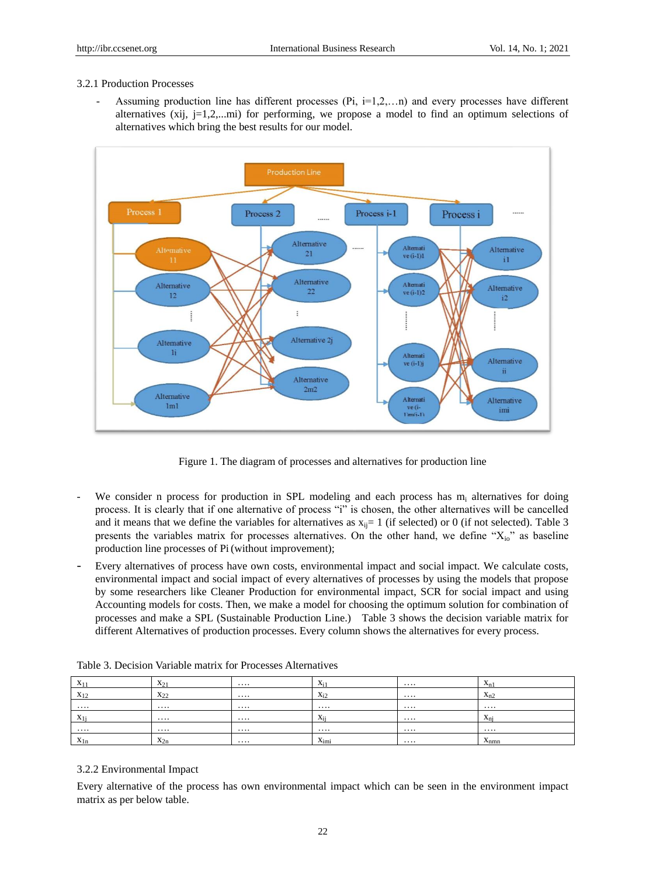## 3.2.1 Production Processes

Assuming production line has different processes  $(Pi, i=1,2,...n)$  and every processes have different alternatives (xij, j=1,2,...mi) for performing, we propose a model to find an optimum selections of alternatives which bring the best results for our model.



Figure 1. The diagram of processes and alternatives for production line

- We consider n process for production in SPL modeling and each process has  $m_i$  alternatives for doing process. It is clearly that if one alternative of process "i" is chosen, the other alternatives will be cancelled and it means that we define the variables for alternatives as  $x_{ij}= 1$  (if selected) or 0 (if not selected). Table 3 presents the variables matrix for processes alternatives. On the other hand, we define "Xio" as baseline production line processes of Pi(without improvement);
- Every alternatives of process have own costs, environmental impact and social impact. We calculate costs, environmental impact and social impact of every alternatives of processes by using the models that propose by some researchers like Cleaner Production for environmental impact, SCR for social impact and using Accounting models for costs. Then, we make a model for choosing the optimum solution for combination of processes and make a SPL (Sustainable Production Line.) Table 3 shows the decision variable matrix for different Alternatives of production processes. Every column shows the alternatives for every process.

| $\mathbf{v}$<br>$\mathbf{A}$ 1<br> | $X_{2}$<br>.                   | <br>$X_i$                                   | .        | $\mathbf{v}$<br>$A_{n1}$  |
|------------------------------------|--------------------------------|---------------------------------------------|----------|---------------------------|
| $X_{12}$<br>$\overline{1}$         | $\mathbf{v}$<br>$X_{2}$<br>ىقى | <br>$X_i$                                   | $\cdots$ | $\mathbf{v}$<br>$A_{n2}$  |
| $\cdots$                           |                                | <br>$\cdots$                                | $\cdots$ | .                         |
| $X^1$                              |                                | <br>$\mathbf{r}$<br><b>Y</b><br>$\Delta$ ii | $\cdots$ | $\mathbf{v}$<br>$x_{ni}$  |
|                                    |                                | <br>$\cdots$                                | $\cdots$ | .                         |
| $x_{1n}$                           | $\mathbf{v}$<br>$x_{2n}$       | <br>$x_{\text{imi}}$                        | $\cdots$ | $\mathbf{v}$<br>$A_{nmn}$ |

Table 3. Decision Variable matrix for Processes Alternatives

# 3.2.2 Environmental Impact

Every alternative of the process has own environmental impact which can be seen in the environment impact matrix as per below table.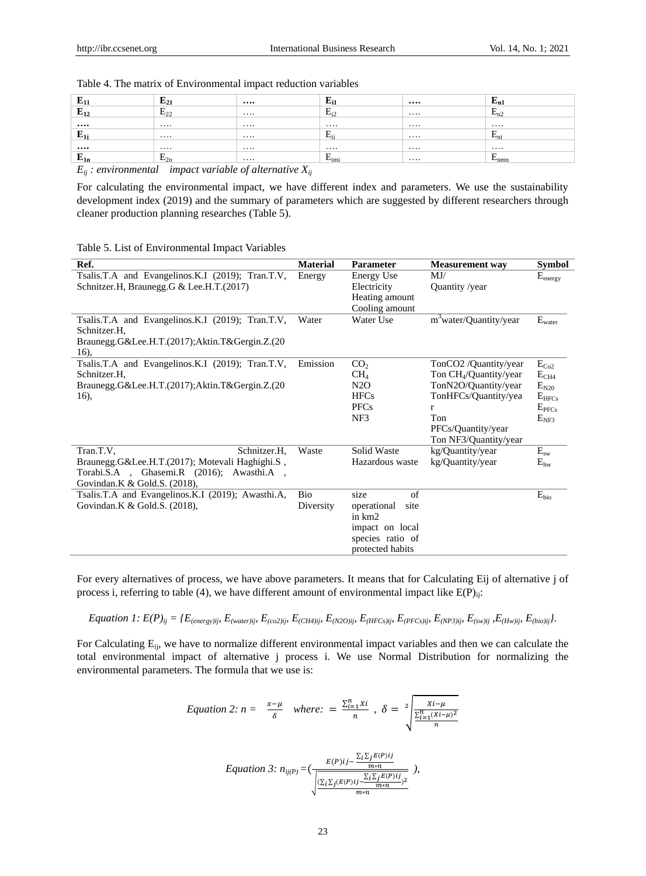| ┳<br>്വം      | $E_{21}$                                                                        | $\cdots$ | $E_{11}$                   | $\cdots$ | — n1                    |
|---------------|---------------------------------------------------------------------------------|----------|----------------------------|----------|-------------------------|
| п<br>$E_{12}$ | $E_{22}$                                                                        | $\cdots$ | -<br>$\mathbf{F}$<br>$-12$ | $\cdots$ | $\blacksquare$<br>$n_1$ |
| $\cdots$      |                                                                                 | $\cdots$ | $\cdots$                   | $\cdots$ | $\cdots$                |
| E<br>Ш.       |                                                                                 | $\cdots$ | <b>H.,</b><br>∸            | .        | $-n1$                   |
| $\cdots$      |                                                                                 | $\cdots$ | $\cdots$                   | .        | $\cdots$                |
| E<br>$E_{1n}$ | –<br>$E_{2n}$                                                                   | $\cdots$ | −<br>$E_{imi}$             | $\cdots$ | –<br>$L_{\text{nnn}}$   |
|               | the contract of the contract of the contract of the contract of the contract of |          |                            |          |                         |

## Table 4. The matrix of Environmental impact reduction variables

 $E_{ij}$  *: environmental impact variable of alternative*  $X_{ij}$ 

For calculating the environmental impact, we have different index and parameters. We use the sustainability development index (2019) and the summary of parameters which are suggested by different researchers through cleaner production planning researches (Table 5).

#### Table 5. List of Environmental Impact Variables

| Ref.                                                             | <b>Material</b> | <b>Parameter</b>    | <b>Measurement</b> way                      | <b>Symbol</b>               |
|------------------------------------------------------------------|-----------------|---------------------|---------------------------------------------|-----------------------------|
| Tsalis.T.A and Evangelinos.K.I (2019); Tran.T.V,                 | Energy          | <b>Energy Use</b>   | MJ/                                         | $E_{\text{energy}}$         |
| Schnitzer.H, Braunegg.G & Lee.H.T.(2017)                         |                 | Electricity         | Quantity /year                              |                             |
|                                                                  |                 | Heating amount      |                                             |                             |
|                                                                  |                 | Cooling amount      |                                             |                             |
| Tsalis.T.A and Evangelinos.K.I (2019); Tran.T.V,<br>Schnitzer.H. | Water           | Water Use           | m <sup>3</sup> water/Quantity/year          | $\mathbf{E}_{\text{water}}$ |
| Braunegg.G&Lee.H.T.(2017);Aktin.T&Gergin.Z.(20                   |                 |                     |                                             |                             |
| 16),                                                             |                 |                     |                                             |                             |
| Tsalis.T.A and Evangelinos.K.I (2019); Tran.T.V,                 | Emission        | CO <sub>2</sub>     | TonCO2 /Quantity/year                       | $E_{Co2}$                   |
| Schnitzer.H.                                                     |                 | CH <sub>4</sub>     | Ton CH <sub>4</sub> /Quantity/year          | $E_{CH4}$                   |
| Braunegg.G&Lee.H.T.(2017);Aktin.T&Gergin.Z.(20                   |                 | N2O                 | TonN2O/Quantity/year                        | $E_{N20}$                   |
| 16),                                                             |                 | <b>HFCs</b>         | TonHFCs/Quantity/yea                        | $E_{HFCs}$                  |
|                                                                  |                 | <b>PFCs</b>         | r                                           | E <sub>PFCs</sub>           |
|                                                                  |                 | NF3                 | Ton                                         | $E_{NF3}$                   |
|                                                                  |                 |                     | PFCs/Quantity/year<br>Ton NF3/Quantity/year |                             |
| Schnitzer.H,<br>Tran.T.V,                                        | Waste           | Solid Waste         | kg/Quantity/year                            | $E_{sw}$                    |
| Braunegg.G&Lee.H.T.(2017); Motevali Haghighi.S,                  |                 | Hazardous waste     | kg/Quantity/year                            | $E_{hw}$                    |
| Torabi.S.A , Ghasemi.R (2016); Awasthi.A ,                       |                 |                     |                                             |                             |
| Govindan.K & Gold.S. (2018),                                     |                 |                     |                                             |                             |
| Tsalis.T.A and Evangelinos.K.I (2019); Awasthi.A,                | <b>Bio</b>      | size<br>of          |                                             | $E_{bio}$                   |
| Govindan.K & Gold.S. (2018),                                     | Diversity       | operational<br>site |                                             |                             |
|                                                                  |                 | in km2              |                                             |                             |
|                                                                  |                 | impact on local     |                                             |                             |
|                                                                  |                 | species ratio of    |                                             |                             |
|                                                                  |                 | protected habits    |                                             |                             |

For every alternatives of process, we have above parameters. It means that for Calculating Eij of alternative j of process i, referring to table (4), we have different amount of environmental impact like  $E(P)_{ii}$ :

Equation 1:  $E(P)_{ij} = \{E_{(energy)ij}, E_{(water)ij}, E_{(co2)ij}, E_{(CH4)ij}, E_{(N2O)ij}, E_{(HFCs)ij}, E_{(PFCs)ij}, E_{(NP3)ij}, E_{(sw)ij}, E_{(Hw)ij}, E_{(bio)ij}\}.$ 

For Calculating E<sub>ij</sub>, we have to normalize different environmental impact variables and then we can calculate the total environmental impact of alternative j process i. We use Normal Distribution for normalizing the environmental parameters. The formula that we use is:

Equation 2: 
$$
n = \frac{x-\mu}{\delta}
$$
 where:  $= \frac{\sum_{i=1}^{n}xi}{n}$ ,  $\delta = 2 \sqrt{\frac{\sum_{i=1}^{n}(Xi-\mu)^2}{n}}$ 

$$
Equation 3: n_{ij(P)} = \left(\frac{E(P)ij - \frac{\sum_{i} \sum_{j} E(P)ij}{m+n}}{\sqrt{\frac{\sum_{i} \sum_{j} (E(P)ij - \frac{\sum_{i} \sum_{j} E(P)ij}{m+n})^2}{m+n}}\right)}
$$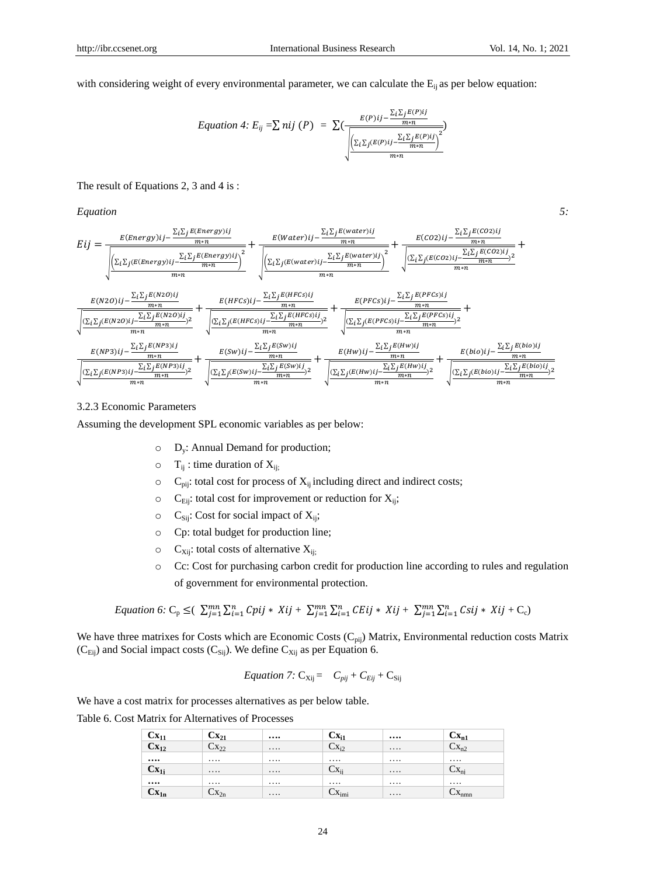with considering weight of every environmental parameter, we can calculate the  $E_{ii}$  as per below equation:

Equation 4: 
$$
E_{ij} = \sum \pi ij \, (P) = \sum \left(\frac{E(P)ij - \frac{\sum_i \sum_j E(P)ij}{m+n}}{\sqrt{\frac{\sum_i \sum_j (E(P)ij - \frac{\sum_i \sum_j E(P)ij}{m+n})}{m+n}}\right)^2}}
$$

The result of Equations 2, 3 and 4 is :

*Equation 5:* 

$$
Eij = \frac{E(Energy)ij - \frac{\Sigma_{i}\Sigma_{j}E(Energy)ij}}{m+n} + \frac{E(Water)ij - \frac{\Sigma_{i}\Sigma_{j}E(Energy)ij}}{m+n}}{\sqrt{\frac{\Sigma_{i}\Sigma_{j}(E(Energy)ij)}{m+n}} + \frac{\Sigma_{i}\Sigma_{j}E(Water)ij - \frac{\Sigma_{i}\Sigma_{j}E(water)ij}{m+n}}{m+n}} + \frac{E(CO2)ij - \frac{\Sigma_{i}\Sigma_{j}E(CO2)ij}}{m+n} + \frac{E(CO2)ij - \frac{\Sigma_{i}\Sigma_{j}E(CO2)ij}{m+n}}{m+n} + \frac{E(N2O)ij - \frac{\Sigma_{i}\Sigma_{j}E(N2O)ij}{m+n}}{m+n} + \frac{E(N2O)ij - \frac{\Sigma_{i}\Sigma_{j}E(N2O)ij}{m+n}}{m+n}} + \frac{E(HECS)ij - \frac{\Sigma_{i}\Sigma_{j}E(HFCS)ij}{m+n}}{\sqrt{\frac{\Sigma_{i}\Sigma_{j}(E(N2O)ij)}{m+n}} + \frac{E(HFCS)ij - \frac{\Sigma_{i}\Sigma_{j}E(HFCS)ij}{m+n}}{m+n} + \frac{E(PFCS)ij - \frac{\Sigma_{i}\Sigma_{j}E(PFCS)ij}{m+n}}{m+n} + \frac{E(PFCS)ij - \frac{\Sigma_{i}\Sigma_{j}E(PFCS)ij}{m+n}}{m+n}}{m+n} + \frac{E(NP3)ij - \frac{\Sigma_{i}\Sigma_{j}E(NP3)ij}{m+n}}{m+n} + \frac{E(SW)ij - \frac{\Sigma_{i}\Sigma_{j}E(SW)ij}{m+n}}{m+n} + \frac{E(HW)ij - \frac{\Sigma_{i}\Sigma_{j}E(HW)ij}{m+n}}{m+n} + \frac{E(bio)ij - \frac{\Sigma_{i}\Sigma_{j}E(bio)ij}{m+n}}{m+n} + \frac{E(bio)ij - \frac{\Sigma_{i}\Sigma_{j}E(bio)ij}{m+n}}{m+n} + \frac{E(bio)ij - \frac{\Sigma_{i}\Sigma_{j}E(bio)ij}{m+n}}{m+n} + \frac{E(bio)ij - \frac{\Sigma_{i}\Sigma_{j}E(bio)ij}{m+n}}{m+n} + \frac{E(bio)ij - \frac{\Sigma_{i}\Sigma_{j}E(bio)ij}{m+n} + \frac{E(bio)ij - \frac{\Sigma_{i}\Sigma_{j}E(bio)ij}{m+n}}{m+n} + \frac{E(NP3)ij - \Sigma_{i}\Sigma
$$

# 3.2.3 Economic Parameters

Assuming the development SPL economic variables as per below:

- o Dy: Annual Demand for production;
- $\circ$  T<sub>ij</sub> : time duration of X<sub>ij;</sub>
- $\circ$  C<sub>pij</sub>: total cost for process of  $X_{ij}$  including direct and indirect costs;
- $\circ$  C<sub>Eij</sub>: total cost for improvement or reduction for X<sub>ij</sub>;
- $\circ$  C<sub>Sij</sub>: Cost for social impact of X<sub>ij</sub>;
- o Cp: total budget for production line;
- $\circ$  C<sub>Xij</sub>: total costs of alternative X<sub>ij;</sub>
- o Cc: Cost for purchasing carbon credit for production line according to rules and regulation of government for environmental protection.

Equation 6: 
$$
C_p \leq (\sum_{j=1}^{mn} \sum_{i=1}^{n} Cpi_j \cdot Xij + \sum_{j=1}^{mn} \sum_{i=1}^{n} CEij \cdot Xij + \sum_{j=1}^{mn} \sum_{i=1}^{n} Csij \cdot Xij + C_c)
$$

We have three matrixes for Costs which are Economic Costs  $(C_{pij})$  Matrix, Environmental reduction costs Matrix  $(C_{Eij})$  and Social impact costs  $(C_{Sij})$ . We define  $C_{Xij}$  as per Equation 6.

$$
Equation 7: \mathbf{C}_{\mathbf{Xij}} = C_{pi} + C_{Eij} + \mathbf{C}_{\mathbf{Sij}}
$$

We have a cost matrix for processes alternatives as per below table.

Table 6. Cost Matrix for Alternatives of Processes

| $\mathbf{C}\mathbf{X_{11}}$ | $Cx_{21}$           |          | $\mathbf{X}_{i1}$          | $\cdots$ | $cx_{n1}$              |
|-----------------------------|---------------------|----------|----------------------------|----------|------------------------|
| $Cx_{12}$                   | $Cx_{22}$           | $\cdots$ | $Cx_{i2}$                  | $\cdots$ | $-X_{n2}$              |
| $\cdots$                    | $\cdots$            | $\cdots$ | $\cdots$                   | $\cdots$ | $\cdots$               |
| $\mathbf{C}\mathbf{x}_{1j}$ | $\cdots$            | $\cdots$ | $\mathbf{X}_{ii}$          | $\cdots$ | $-\Lambda_{\text{ni}}$ |
| $\cdots$                    | $\cdots$            | $\cdots$ | $\cdots$                   | $\cdots$ |                        |
| $cx_{1n}$                   | $\mathcal{L}X_{2n}$ | $\cdots$ | $\mathcal{N}_{\text{imi}}$ | $\cdots$ | $-\Lambda_{\rm nmn}$   |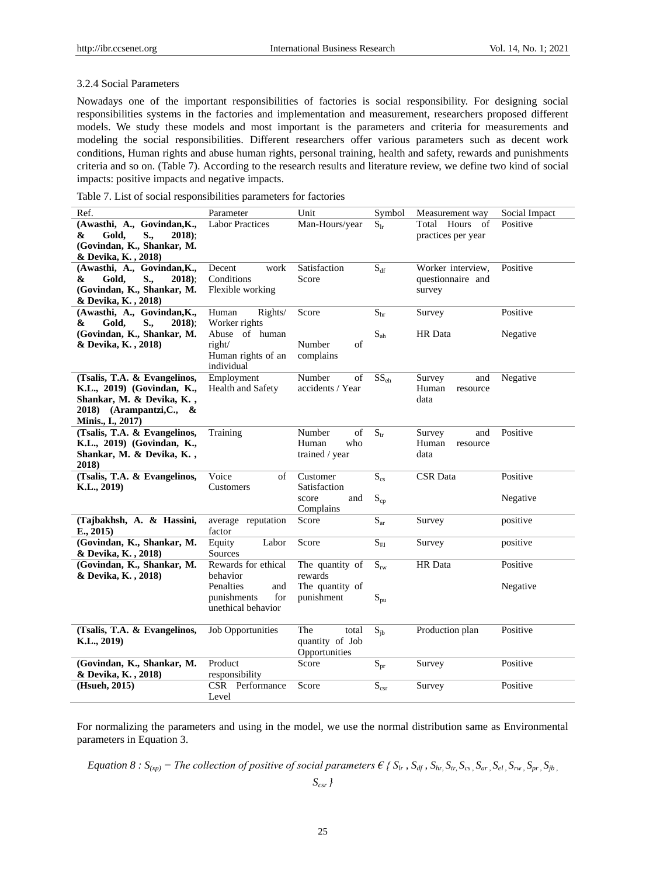## 3.2.4 Social Parameters

Nowadays one of the important responsibilities of factories is social responsibility. For designing social responsibilities systems in the factories and implementation and measurement, researchers proposed different models. We study these models and most important is the parameters and criteria for measurements and modeling the social responsibilities. Different researchers offer various parameters such as decent work conditions, Human rights and abuse human rights, personal training, health and safety, rewards and punishments criteria and so on. (Table 7). According to the research results and literature review, we define two kind of social impacts: positive impacts and negative impacts.

Table 7. List of social responsibilities parameters for factories

| Ref.                                       | Parameter<br>Unit        |                            | Symbol                    | Measurement way    | Social Impact |
|--------------------------------------------|--------------------------|----------------------------|---------------------------|--------------------|---------------|
| (Awasthi, A., Govindan, K.,                | Labor Practices          | Man-Hours/year<br>$S_{lr}$ |                           | Total Hours<br>of  | Positive      |
| Gold,<br>$2018$ :<br>&<br>S.,              |                          |                            |                           | practices per year |               |
| (Govindan, K., Shankar, M.                 |                          |                            |                           |                    |               |
| & Devika, K., 2018)                        |                          |                            |                           |                    |               |
| (Awasthi, A., Govindan, K.,                | work<br>Decent           | Satisfaction               | $\mathbf{S}_{\text{df}}$  | Worker interview,  | Positive      |
| &<br>Gold,<br>$S_{\cdot\cdot}$<br>$2018$ : | Conditions               | Score                      |                           | questionnaire and  |               |
| (Govindan, K., Shankar, M.                 | Flexible working         |                            |                           | survey             |               |
| & Devika, K., 2018)                        |                          |                            |                           |                    |               |
| (Awasthi, A., Govindan, K.,                | Human<br>Rights/         | Score                      | S <sub>hr</sub>           | Survey             | Positive      |
| &<br>Gold,<br>S.,<br>$2018$ :              | Worker rights            |                            |                           |                    |               |
| (Govindan, K., Shankar, M.                 | Abuse of human           |                            | $S_{ab}$                  | HR Data            | Negative      |
| & Devika, K., 2018)                        | right/                   | Number<br>of               |                           |                    |               |
|                                            | Human rights of an       | complains                  |                           |                    |               |
|                                            | individual               |                            |                           |                    |               |
| (Tsalis, T.A. & Evangelinos,               | Employment               | Number<br>of               | $SS_{eh}$                 | Survey<br>and      | Negative      |
| K.L., 2019) (Govindan, K.,                 | Health and Safety        | accidents / Year           |                           | Human<br>resource  |               |
| Shankar, M. & Devika, K.,                  |                          |                            |                           | data               |               |
| 2018) (Arampantzi, C.,<br>&                |                          |                            |                           |                    |               |
| Minis., I., 2017)                          |                          |                            |                           |                    |               |
| (Tsalis, T.A. & Evangelinos,               | Training                 | Number<br>of               | $S_{tr}$                  | Survey<br>and      | Positive      |
| K.L., 2019) (Govindan, K.,                 |                          | Human<br>who               |                           | Human<br>resource  |               |
| Shankar, M. & Devika, K.,                  |                          | trained / year             |                           | data               |               |
| 2018)                                      |                          |                            |                           |                    |               |
| (Tsalis, T.A. & Evangelinos,               | Voice<br>of              | Customer                   | $S_{\rm cs}$              | <b>CSR</b> Data    | Positive      |
| K.L., 2019)                                | Customers                | Satisfaction               |                           |                    |               |
|                                            |                          | score<br>and               | $S_{cp}$                  |                    | Negative      |
|                                            |                          | Complains                  |                           |                    |               |
| (Tajbakhsh, A. & Hassini,                  | average reputation       | Score                      | $\overline{S_{ar}}$       | Survey             | positive      |
| E., 2015)                                  | factor                   |                            |                           |                    |               |
| (Govindan, K., Shankar, M.                 | Equity<br>Labor          | Score                      | $S_{\rm El}$              | Survey             | positive      |
| & Devika, K., 2018)                        | Sources                  |                            |                           |                    |               |
| (Govindan, K., Shankar, M.                 | Rewards for ethical      | The quantity of            | $S_{rw}$                  | HR Data            | Positive      |
| & Devika, K., 2018)                        | behavior                 | rewards                    |                           |                    |               |
|                                            | Penalties<br>and         | The quantity of            |                           |                    | Negative      |
|                                            | punishments<br>for       | punishment                 | $S_{pu}$                  |                    |               |
|                                            | unethical behavior       |                            |                           |                    |               |
|                                            |                          |                            |                           |                    |               |
| (Tsalis, T.A. & Evangelinos,               | <b>Job Opportunities</b> | The<br>total               | $S_{ib}$                  | Production plan    | Positive      |
| K.L., 2019)                                |                          | quantity of Job            |                           |                    |               |
|                                            |                          | Opportunities              |                           |                    |               |
| (Govindan, K., Shankar, M.                 | Product                  | Score                      | $S_{pr}$                  | Survey             | Positive      |
| & Devika, K., 2018)                        | responsibility           |                            |                           |                    |               |
| (Hsueh, 2015)                              | CSR Performance          | Score                      | $\mathbf{S}_{\text{csr}}$ | Survey             | Positive      |
|                                            | Level                    |                            |                           |                    |               |

For normalizing the parameters and using in the model, we use the normal distribution same as Environmental parameters in Equation 3.

Equation 8 :  $S_{(xp)}$  = The collection of positive of social parameters  $\epsilon$  {  $S_{lr}$ ,  $S_{dr}$ ,  $S_{hr}$ ,  $S_{rs}$ ,  $S_{sr}$ ,  $S_{er}$ ,  $S_{pr}$ ,  $S_{lp}$ ,  $S_{lp}$ ,  $S_{lp}$ ,  $S_{lp}$ ,  $S_{lp}$ ,  $S_{lp}$ ,  $S_{lp}$ ,  $S_{lp}$ ,  $S_{lp}$ ,  $S_{lp}$ ,  $S_{lp}$ ,

*Scsr }*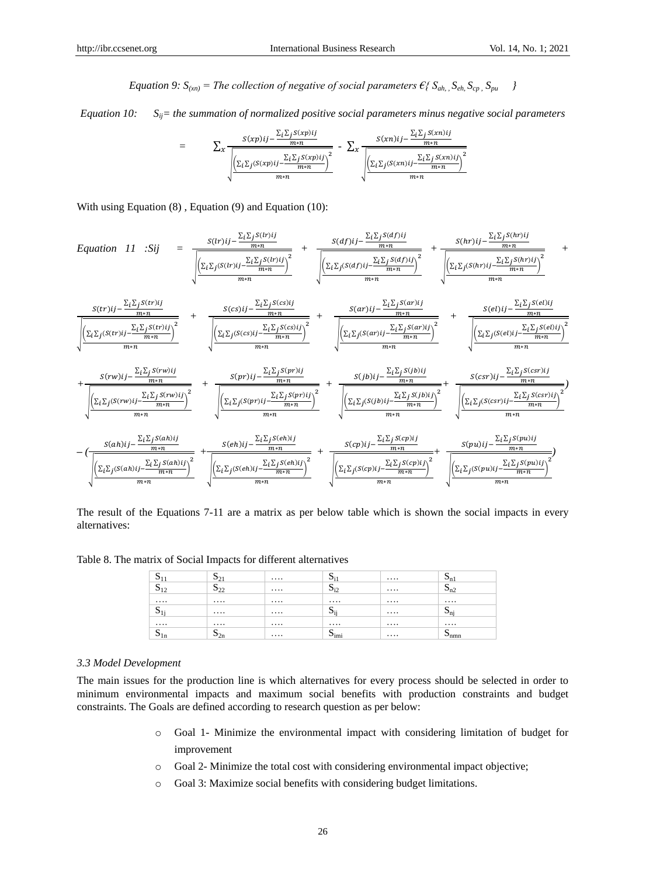*Equation 9:*  $S_{(xn)}$  = *The collection of negative of social parameters*  $\epsilon$ *{*  $S_{ah}$ ,  $S_{eh}$ ,  $S_{cp}$ ,  $S_{pu}$  *}* 

*Equation 10: Sij= the summation of normalized positive social parameters minus negative social parameters* 

$$
= \sum_{x} \frac{S(xp)ij - \frac{\sum_{i}\sum_{j}S(xp)ij}{m+n}}{\sqrt{\frac{\left(\sum_{i}\sum_{j}(S(xp)ij - \frac{\sum_{i}\sum_{j}S(xp)ij}{m+n}\right)^2}{m+n}} + \sum_{x} \frac{S(xn)ij - \frac{\sum_{i}\sum_{j}S(xn)ij}{m+n}}{\sqrt{\frac{\left(\sum_{i}\sum_{j}(S(xn)ij - \frac{\sum_{i}\sum_{j}S(xn)ij}{m+n}\right)^2}{m+n}}}}}
$$

With using Equation  $(8)$ , Equation  $(9)$  and Equation  $(10)$ :

$$
Equation 11 Sij = \frac{S(lr)ij - \frac{\sum_{i}\sum_{j}S(lr)ij}{mn}}{\sqrt{\frac{\left(\sum_{i}\sum_{j}(S(lr)ij - \frac{\sum_{i}\sum_{j}S(lr)ij}{mn}\right)^{2}}{mn}} + \frac{\left(\sum_{i}\sum_{j}(S(lr)ij - \frac{\sum_{i}\sum_{j}S(lr)ij}{mn}\right)^{2}}{mn}}{mn}}\right)} + \frac{S(c)ij - \frac{\sum_{i}\sum_{j}S(lr)ij}{mn}}{\sqrt{\frac{\left(\sum_{i}\sum_{j}(S(lr)ij - \frac{\sum_{i}\sum_{j}S(lr)ij}{mn}\right)^{2}}{mn}} + \frac{S(c)ij - \frac{\sum_{i}\sum_{j}S(lr)ij}{mn}}{mn}}\right)}} + \frac{S(c)ij - \frac{\sum_{i}\sum_{j}S(c)ij}{mn}}{mn}
$$
\n
$$
+ \frac{S(c)ij - \frac{\sum_{i}\sum_{j}S(c)ij}{mn}}{mn}
$$
\n
$$
+ \frac{S(rv)ij - \frac{\sum_{i}\sum_{j}S(lr)ij}{mn}}{mn}
$$
\n
$$
+ \frac{S(rv)ij - \frac{\sum_{i}\sum_{j}S(lr)ij}{mn}}{mn}
$$
\n
$$
+ \frac{S(rv)ij - \frac{\sum_{i}\sum_{j}S(lr)ij}{mn}}{mn}
$$
\n
$$
+ \frac{S(rv)ij - \frac{\sum_{i}\sum_{j}S(lr)ij}{mn}}{mn}
$$
\n
$$
+ \frac{S(rv)ij - \frac{\sum_{i}\sum_{j}S(lr)ij}{mn}}{mn}
$$
\n
$$
+ \frac{S(rv)ij - \frac{\sum_{i}\sum_{j}S(lr)ij}{mn}}{mn}
$$
\n
$$
+ \frac{S(rv)ij - \frac{\sum_{i}\sum_{j}S(lr)ij}{mn}}{mn}
$$
\n
$$
+ \frac{S(rv)ij - \frac{\sum_{i}\sum_{j}S(lr)ij}{mn}}{mn}
$$
\n
$$
+ \frac{S(rv)ij - \frac{\sum_{i}\sum_{j}S(lr)ij}{mn}
$$
\n
$$
+ \frac{S(rv)ij - \frac{\sum_{i}\sum_{j}S(lr)ij}{mn}}{mn}
$$
\n
$$
+ \frac{S(rv)ij - \frac{\sum_{i}\sum_{j}S(lr)ij}{
$$

The result of the Equations 7-11 are a matrix as per below table which is shown the social impacts in every alternatives:

Table 8. The matrix of Social Impacts for different alternatives

| וט                          | $\mathbf{v}_{2}$  |          | $\mathbf{v}_{i1}$         | $\cdots$ | $\mathbf{v}_{n}$          |
|-----------------------------|-------------------|----------|---------------------------|----------|---------------------------|
| $\sim$<br>$\mathbf{v}_{12}$ | $\mathbf{D}_{2z}$ | $\cdots$ | $\mathbf{p}_{i2}$         | $\cdots$ | $\mathbf{u}_{n2}$         |
|                             | $\cdots$          | $\cdots$ | $\cdots$                  | $\cdots$ | $\cdots$                  |
| $\mathbf{u}_{1i}$           | $\cdots$          | $\cdots$ | $\mathbf{u}_{\text{ii}}$  | $\cdots$ | $\mathbf{v}_{ni}$         |
|                             | $\cdots$          | $\cdots$ | $\cdots$                  | $\cdots$ | $\cdots$                  |
| N.<br>1n                    | $\mathbf{v}_{2n}$ | $\cdots$ | $\mathbf{u}_{\text{imi}}$ | $\cdots$ | $\mathbf{p}_{\text{nnn}}$ |

#### *3.3 Model Development*

The main issues for the production line is which alternatives for every process should be selected in order to minimum environmental impacts and maximum social benefits with production constraints and budget constraints. The Goals are defined according to research question as per below:

- o Goal 1- Minimize the environmental impact with considering limitation of budget for improvement
- o Goal 2- Minimize the total cost with considering environmental impact objective;
- o Goal 3: Maximize social benefits with considering budget limitations.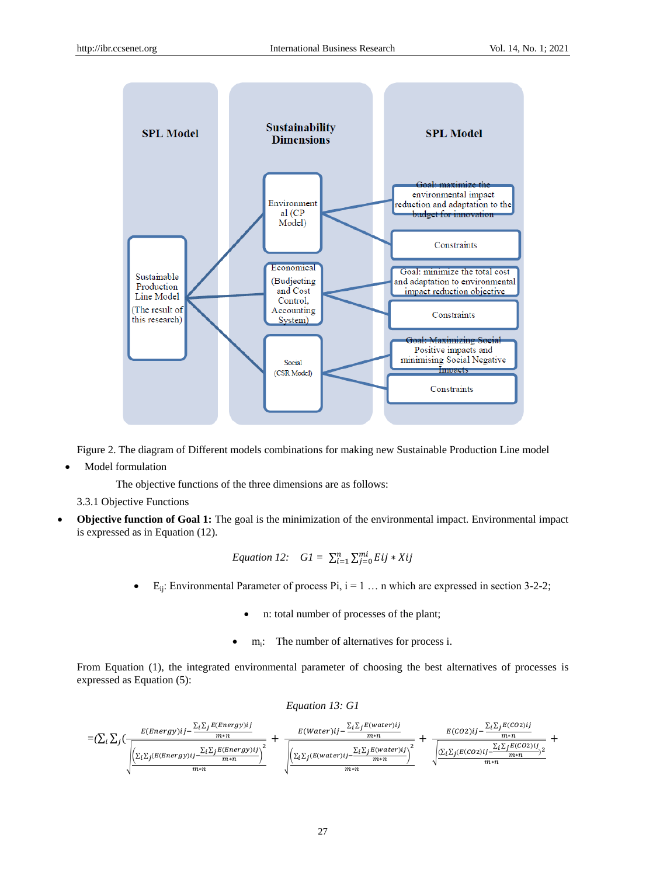

Figure 2. The diagram of Different models combinations for making new Sustainable Production Line model

Model formulation

The objective functions of the three dimensions are as follows:

3.3.1 Objective Functions

 **Objective function of Goal 1:** The goal is the minimization of the environmental impact. Environmental impact is expressed as in Equation (12).

Equation 12: 
$$
GI = \sum_{i=1}^{n} \sum_{j=0}^{mi} Eij * Xij
$$

- $E_{ii}$ : Environmental Parameter of process Pi,  $i = 1 \ldots n$  which are expressed in section 3-2-2;
	- n: total number of processes of the plant;
	- m<sup>i</sup> : The number of alternatives for process i.

From Equation (1), the integrated environmental parameter of choosing the best alternatives of processes is expressed as Equation (5):

#### *Equation 13: G1*

$$
=(\sum_i\sum_j(\frac{E(Energy)ij-\frac{\sum_i\sum_jE(Energy)ij}{m*n}}{\sqrt{\frac{\left(\sum_i\sum_j(E(Energy)ij-\frac{\sum_i\sum_jE(Energy)ij}{m*n}\right)^2}{m*n}}+\frac{E(Water)ij-\frac{\sum_i\sum_jE(water)ij}{m*n}}{\sqrt{\frac{\left(\sum_i\sum_j(E(Energy)ij-\frac{\sum_i\sum_jE(water)ij}{m*n}\right)^2}{m*n}}+\frac{E(CO2)ij-\frac{\sum_i\sum_jE(CO2)ij}{m*n}}{m*n}}}}\right)}}{\sqrt{\frac{\left(\sum_i\sum_j(E(Co2)ij-\frac{\sum_i\sum_jE(CO2)ij}{m*n}\right)^2}{m*n}}+\frac{E(CO2)ij-\frac{\sum_i\sum_jE(CO2)ij}{m*n}}{m*n}}{m*n}}\right)}}{\sqrt{\frac{\left(\sum_i\sum_j(E(Co2)ij-\frac{\sum_i\sum_jE(CO2)ij}{m*n}\right)^2}{m*n}}{m*n}}+\frac{E(CO2)ij-\frac{\sum_i\sum_jE(CO2)ij}{m*n}}{m*n}}\right)}}{\sqrt{\frac{\left(\sum_i\sum_jE(CO2)ij-\frac{\sum_i\sum_jE(CO2)ij}{m*n}\right)^2}{m*n}}}
$$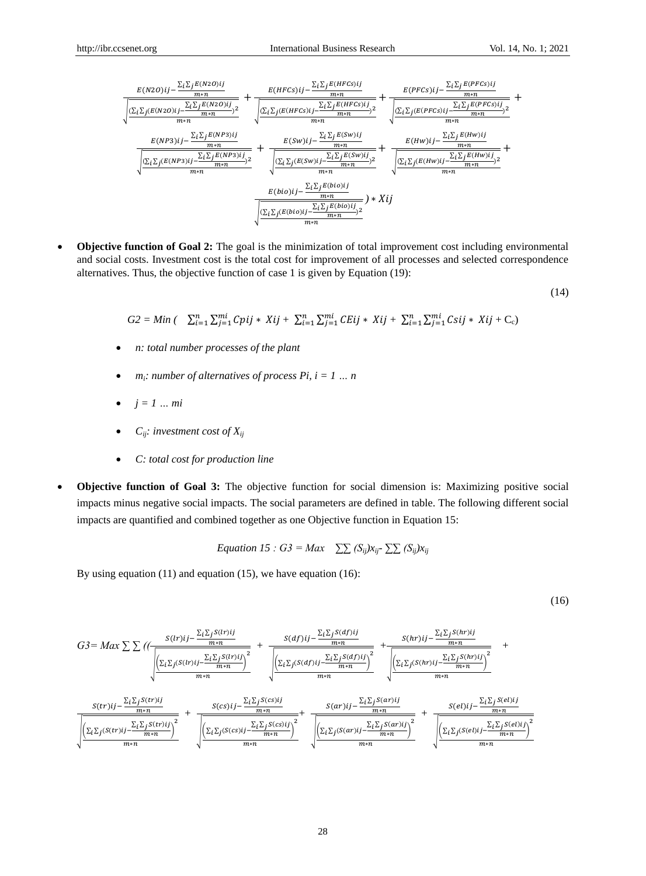$$
\frac{E( N20)ij-\frac{\Sigma_{i}\Sigma_{j}E( N20)ij}}{m*n}+\frac{E(HFCs)ij-\frac{\Sigma_{i}\Sigma_{j}E(HFCs)ij}}{m*n}}{\sqrt{\frac{(\Sigma_{i}\Sigma_{j}(E(N20)ij)-\frac{\Sigma_{i}\Sigma_{j}E(N20)ij}{m*n})^{2}}{m*n}}+\frac{E(FFCs)ij-\frac{\Sigma_{i}\Sigma_{j}E(HFCs)ij}}{m*n}}{\sqrt{\frac{(\Sigma_{i}\Sigma_{j}(E(NP3)ij)-\frac{\Sigma_{i}\Sigma_{j}E(NP3)ij}{m*n})^{2}}{m*n}}+\frac{E(Sw)ij-\frac{\Sigma_{i}\Sigma_{j}E(BFFCs)ij}{m*n})^{2}}{m*n}}+\frac{E(Sw)ij-\frac{\Sigma_{i}\Sigma_{j}E(Sw)ij}{m*n}}{m*n}+\frac{E(Kw)ij-\frac{\Sigma_{i}\Sigma_{j}E(Sw)ij}{m*n}}{m*n}+\frac{E(Hw)ij-\frac{\Sigma_{i}\Sigma_{j}E(Hw)ij}{m*n}}{m*n}}{m*n}+\frac{E(Hw)ij-\frac{\Sigma_{i}\Sigma_{j}E(Hw)ij}{m*n}}{m*n}+\frac{E(Hw)ij-\frac{\Sigma_{i}\Sigma_{j}E(Hw)ij}{m*n}}{m*n}+\frac{E(bio)ij-\frac{\Sigma_{i}\Sigma_{j}E(bio)ij}{m*n}}{m*n}+\frac{E(bio)ij-\frac{\Sigma_{i}\Sigma_{j}E(bio)ij}{m*n}}{m*n}}) \times Kij
$$

 **Objective function of Goal 2:** The goal is the minimization of total improvement cost including environmental and social costs. Investment cost is the total cost for improvement of all processes and selected correspondence alternatives. Thus, the objective function of case 1 is given by Equation (19):

$$
(14)
$$

$$
G2 = Min \, (\quad \sum_{i=1}^{n} \sum_{j=1}^{mi} Cpij * Xij + \sum_{i=1}^{n} \sum_{j=1}^{mi} CEij * Xij + \sum_{i=1}^{n} \sum_{j=1}^{mi} Csij * Xij + C_c)
$$

- *n: total number processes of the plant*
- $m_i$ *: number of alternatives of process Pi, i = 1 ... n*
- $\bullet$  *j* = *1 ... mi*
- $C_{ij}$ *: investment cost of*  $X_{ij}$
- *C: total cost for production line*
- **Objective function of Goal 3:** The objective function for social dimension is: Maximizing positive social impacts minus negative social impacts. The social parameters are defined in table. The following different social impacts are quantified and combined together as one Objective function in Equation 15:

*Equation 15* : 
$$
G3 = Max \sum_{ij} (S_{ij})x_{ij} \sum_{ij} (S_{ij})x_{ij}
$$

By using equation (11) and equation (15), we have equation (16):

(16)

$$
G3 = Max \sum \left( \left( \frac{S(lr)ij - \frac{\sum_{i}\sum_{j}S(lr)ij}{m+n}}{\sqrt{\frac{\left(\sum_{i}\sum_{j}(S(lr)ij - \frac{\sum_{i}\sum_{j}S(lr)ij}{m+n}\right)^{2}}{m+n}}}\right)^{2}} + \frac{S(df)ij - \frac{\sum_{i}\sum_{j}S(df)ij}{m+n} + \frac{S(hr)ij - \frac{\sum_{i}\sum_{j}S(hr)ij}{m+n}}{\sqrt{\frac{\left(\sum_{i}\sum_{j}(S(lr)ij - \frac{\sum_{i}\sum_{j}S(lr)ij}{m+n}\right)^{2}}{m+n}}\right)^{2}} + \frac{S(hr)ij - \frac{\sum_{i}\sum_{j}S(hr)ij}{m+n}}}{m+n} + \frac{S(cs)ij - \frac{\sum_{i}\sum_{j}S(cs)ij}{m+n}}{\sqrt{\frac{\left(\sum_{i}\sum_{j}(S(lr)ij - \frac{\sum_{i}\sum_{j}S(cr)ij}{m+n}\right)^{2}}{m+n}}\right)^{2}} + \frac{S(ar)ij - \frac{\sum_{i}\sum_{j}S(ar)ij}{m+n}}}{m+n} + \frac{S(el)ij - \frac{\sum_{i}\sum_{j}S(el)ij}{m+n}}{m+n} + \frac{S(el)ij - \frac{\sum_{i}\sum_{j}S(el)ij}{m+n}}{m+n} + \frac{S(el)ij - \frac{\sum_{i}\sum_{j}S(el)ij}{m+n}}{m+n} + \frac{S(el)ij - \frac{\sum_{i}\sum_{j}S(el)ij}{m+n}}}{m+n} + \frac{S(el)ij - \frac{\sum_{i}\sum_{j}S(el)ij}{m+n}}{m+n} + \frac{S(el)ij - \frac{\sum_{i}\sum_{j}S(el)ij}{m+n}}{m+n} + \frac{S(el)ij - \frac{\sum_{i}\sum_{j}S(el)ij}{m+n}}{m+n} + \frac{S(el)ij - \frac{\sum_{i}\sum_{j}S(el)ij}{m+n}}{m+n} + \frac{S(el)ij - \frac{\sum_{i}\sum_{j}S(el)ij}{m+n}}{m+n} + \frac{S(el)ij - \frac{\sum_{i}\sum_{j}S(el)ij}{m+n} + \frac{S(el)ij - \frac{\sum_{i}\sum_{j}S(el)ij}{m+n}}}{m+n} + \frac{S(el)ij - \frac{\sum_{i}\sum_{j}S(el)ij
$$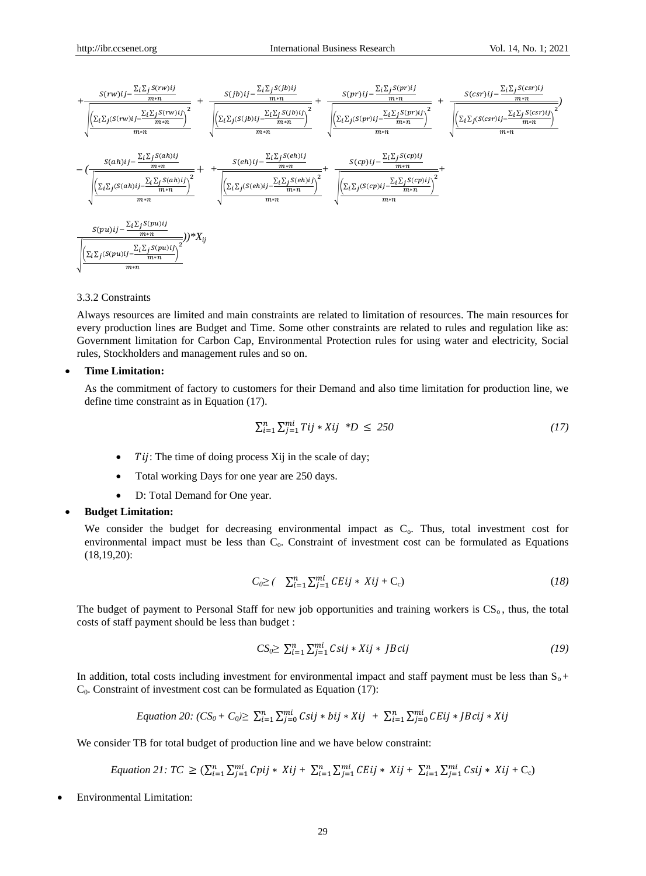

#### 3.3.2 Constraints

Always resources are limited and main constraints are related to limitation of resources. The main resources for every production lines are Budget and Time. Some other constraints are related to rules and regulation like as: Government limitation for Carbon Cap, Environmental Protection rules for using water and electricity, Social rules, Stockholders and management rules and so on.

## **Time Limitation:**

As the commitment of factory to customers for their Demand and also time limitation for production line, we define time constraint as in Equation (17).

$$
\sum_{i=1}^{n} \sum_{j=1}^{mi} Tij * Xij *D \leq 250 \tag{17}
$$

- : The time of doing process Xij in the scale of day;
- Total working Days for one year are 250 days.
- D: Total Demand for One year.

#### **Budget Limitation:**

We consider the budget for decreasing environmental impact as  $C<sub>o</sub>$ . Thus, total investment cost for environmental impact must be less than  $C_0$ . Constraint of investment cost can be formulated as Equations (18,19,20):

$$
C_0 \geq \left( \sum_{i=1}^n \sum_{j=1}^{mi} CEij * Xij + C_c \right) \tag{18}
$$

The budget of payment to Personal Staff for new job opportunities and training workers is  $CS_0$ , thus, the total costs of staff payment should be less than budget :

$$
CS_0 \ge \sum_{i=1}^n \sum_{j=1}^{mi} Csij * Xij * JBcij \tag{19}
$$

In addition, total costs including investment for environmental impact and staff payment must be less than  $S_0$  +  $C_0$ . Constraint of investment cost can be formulated as Equation (17):

Equation 20: 
$$
(CS_0 + C_0) \ge \sum_{i=1}^n \sum_{j=0}^{mi} Csij * bij * Xij + \sum_{i=1}^n \sum_{j=0}^{mi} CEij * JBcij * Xij
$$

We consider TB for total budget of production line and we have below constraint:

*Equation 21:*  $TC \geq (\sum_{i=1}^n \sum_{j=1}^{mi} Cpi_j \cdot Kij + \sum_{i=1}^n \sum_{j=1}^{mi} CEij \cdot Kij + \sum_{i=1}^n \sum_{j=1}^{mi} Csij \cdot Kij + C_c)$ 

Environmental Limitation: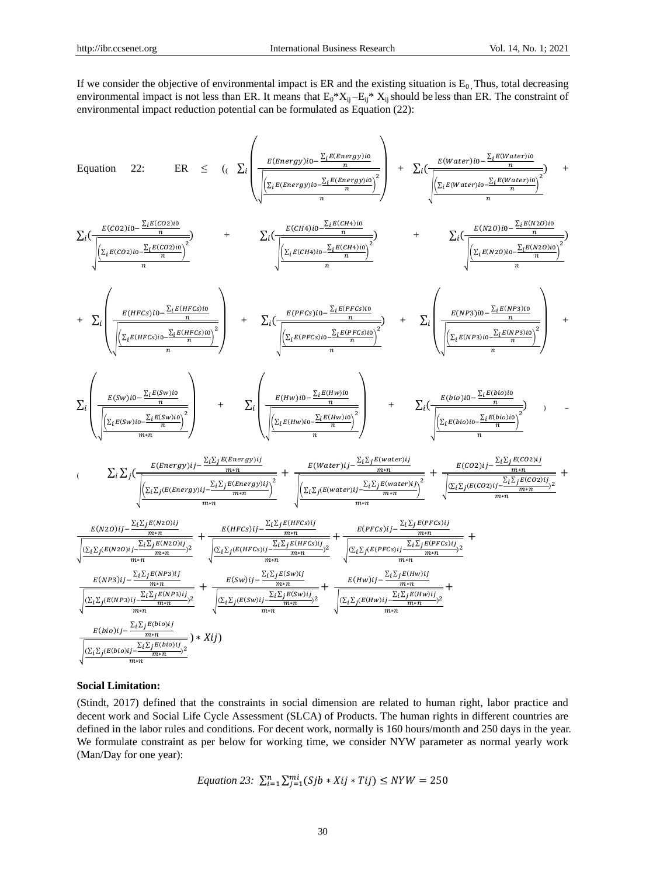If we consider the objective of environmental impact is ER and the existing situation is  $E_0$ . Thus, total decreasing environmental impact is not less than ER. It means that  $E_0^*X_{ij} - E_{ij}^*X_{ij}$  should be less than ER. The constraint of environmental impact reduction potential can be formulated as Equation (22):

 $\overline{ }$ 

Equation 22: ER 
$$
\leq
$$
 ( $\sum_{i} \left( \frac{E(Energy)10 - \frac{\sum_{i} E(Energy)10}{n}}{\sqrt{\frac{\sum_{i} E(Energy)10 - \frac{\sum_{i} E(Energy)10}{n}}{n}}}\right) + \sum_{i} \left( \frac{E(Water)10 - \frac{\sum_{i} E(Water)10}{n}}{\sqrt{\frac{\sum_{i} E(Cost)10 - \frac{\sum_{i} E(Case)10}{n}}{n}}}\right)^2 + \sum_{i} \left( \frac{E(EXEC)10 - \frac{\sum_{i} E(Case)10}{n}}{\sqrt{\frac{\sum_{i} E(Cost)10 - \frac{\sum_{i} E(Case)10}{n}}{n}}}\right)^2 + \sum_{i} \left( \frac{E(EXEC)10 - \frac{\sum_{i} E(Case)10}{n}}{\sqrt{\frac{\sum_{i} E(Case)10 - \frac{\sum_{i} E(Case)10}{n}}{n}}}\right)^2 + \sum_{i} \left( \frac{E(KE)10 - \frac{\sum_{i} E(Case)10}{n}}{\sqrt{\frac{\sum_{i} E(Theta)10 - \frac{\sum_{i} E(Case)10}{n}}{n}}}\right)^2 + \sum_{i} \left( \frac{E(HE)10 - \frac{\sum_{i} E(Theta)10}{n}}{\sqrt{\frac{\sum_{i} E(Theta)10 - \frac{\sum_{i} E(Area)10}{n}}{n}}}\right)^2 + \sum_{i} \left( \frac{E(BE)10 - \frac{\sum_{i} E(Area)10}{n}}{\sqrt{\frac{\sum_{i} E(Area)10 - \frac{\sum_{i} E(Area)10}{n}}{n}}}\right)^2 + \sum_{i} \left( \frac{E(BE)10 - \sum_{i} E(Area)10}{n}\right)^2 + \sum_{i} \left( \frac{E(BE)10 - \sum_{i} E(Area)10}{n}\right)^2 + \sum_{i} \left( \frac{E(BE)10 - \sum_{i} E(Area)10}{n}\right)^2 + \sum_{i} \left( \frac{E(Be)10 - \sum_{i} E(Area)10}{n}\right)^2 + \sum_{i} \left( \frac{E(Be)10 - \sum_{i} E(Area)10}{n}\right)^2 + \sum_{i} \left( \frac{E(Be)10 - \sum_{i} E(Area)10}{n}\right)^2 + \sum_{i} \left( \frac{E(Be)$ 

#### **Social Limitation:**

(Stindt, 2017) defined that the constraints in social dimension are related to human right, labor practice and decent work and Social Life Cycle Assessment (SLCA) of Products. The human rights in different countries are defined in the labor rules and conditions. For decent work, normally is 160 hours/month and 250 days in the year. We formulate constraint as per below for working time, we consider NYW parameter as normal yearly work (Man/Day for one year):

Equation 23: 
$$
\sum_{i=1}^{n} \sum_{j=1}^{mi} (Sj b * X i j * T i j) \leq NYW = 250
$$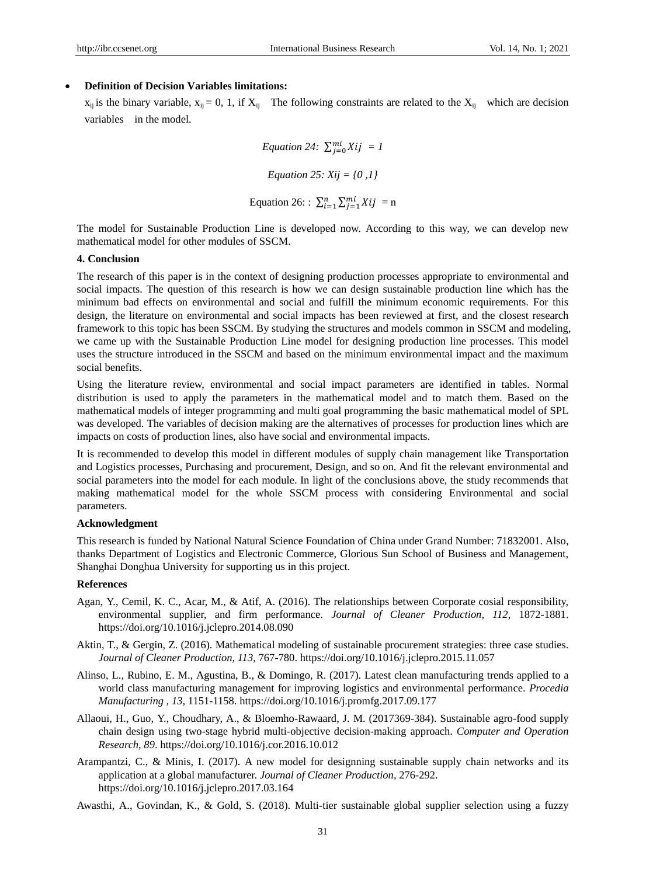## **Definition of Decision Variables limitations:**

 $x_{ij}$  is the binary variable,  $x_{ij} = 0$ , 1, if  $X_{ij}$  The following constraints are related to the  $X_{ij}$  which are decision variables in the model.

> *Equation 24:*  $\sum_{j=0}^{m} Xij = I$ *Equation 25: Xij = {0 ,1}* Equation 26: :  $\sum_{i=1}^{n} \sum_{j=1}^{mi} Xij = n$

The model for Sustainable Production Line is developed now. According to this way, we can develop new mathematical model for other modules of SSCM.

#### **4. Conclusion**

The research of this paper is in the context of designing production processes appropriate to environmental and social impacts. The question of this research is how we can design sustainable production line which has the minimum bad effects on environmental and social and fulfill the minimum economic requirements. For this design, the literature on environmental and social impacts has been reviewed at first, and the closest research framework to this topic has been SSCM. By studying the structures and models common in SSCM and modeling, we came up with the Sustainable Production Line model for designing production line processes. This model uses the structure introduced in the SSCM and based on the minimum environmental impact and the maximum social benefits.

Using the literature review, environmental and social impact parameters are identified in tables. Normal distribution is used to apply the parameters in the mathematical model and to match them. Based on the mathematical models of integer programming and multi goal programming the basic mathematical model of SPL was developed. The variables of decision making are the alternatives of processes for production lines which are impacts on costs of production lines, also have social and environmental impacts.

It is recommended to develop this model in different modules of supply chain management like Transportation and Logistics processes, Purchasing and procurement, Design, and so on. And fit the relevant environmental and social parameters into the model for each module. In light of the conclusions above, the study recommends that making mathematical model for the whole SSCM process with considering Environmental and social parameters.

## **Acknowledgment**

This research is funded by National Natural Science Foundation of China under Grand Number: 71832001. Also, thanks Department of Logistics and Electronic Commerce, Glorious Sun School of Business and Management, Shanghai Donghua University for supporting us in this project.

### **References**

- Agan, Y., Cemil, K. C., Acar, M., & Atif, A. (2016). The relationships between Corporate cosial responsibility, environmental supplier, and firm performance. *Journal of Cleaner Production, 112*, 1872-1881. https://doi.org/10.1016/j.jclepro.2014.08.090
- Aktin, T., & Gergin, Z. (2016). Mathematical modeling of sustainable procurement strategies: three case studies. *Journal of Cleaner Production, 113*, 767-780. https://doi.org/10.1016/j.jclepro.2015.11.057
- Alinso, L., Rubino, E. M., Agustina, B., & Domingo, R. (2017). Latest clean manufacturing trends applied to a world class manufacturing management for improving logistics and environmental performance. *Procedia Manufacturing , 13*, 1151-1158. https://doi.org/10.1016/j.promfg.2017.09.177
- Allaoui, H., Guo, Y., Choudhary, A., & Bloemho-Rawaard, J. M. (2017369-384). Sustainable agro-food supply chain design using two-stage hybrid multi-objective decision-making approach. *Computer and Operation Research, 89*. https://doi.org/10.1016/j.cor.2016.10.012
- Arampantzi, C., & Minis, I. (2017). A new model for designning sustainable supply chain networks and its application at a global manufacturer. *Journal of Cleaner Production*, 276-292. https://doi.org/10.1016/j.jclepro.2017.03.164
- Awasthi, A., Govindan, K., & Gold, S. (2018). Multi-tier sustainable global supplier selection using a fuzzy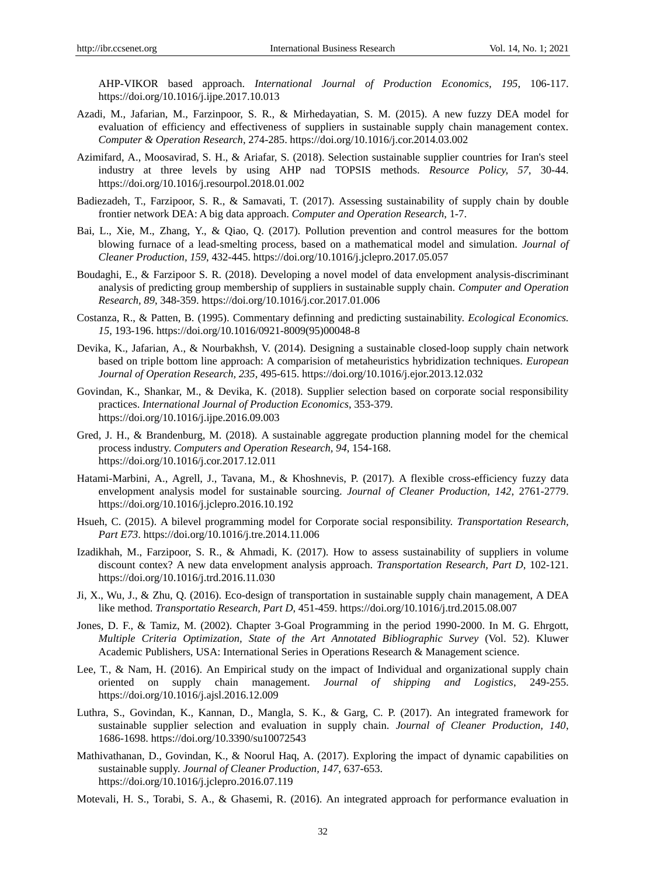AHP-VIKOR based approach. *International Journal of Production Economics, 195*, 106-117. https://doi.org/10.1016/j.ijpe.2017.10.013

- Azadi, M., Jafarian, M., Farzinpoor, S. R., & Mirhedayatian, S. M. (2015). A new fuzzy DEA model for evaluation of efficiency and effectiveness of suppliers in sustainable supply chain management contex. *Computer & Operation Research*, 274-285. https://doi.org/10.1016/j.cor.2014.03.002
- Azimifard, A., Moosavirad, S. H., & Ariafar, S. (2018). Selection sustainable supplier countries for Iran's steel industry at three levels by using AHP nad TOPSIS methods. *Resource Policy, 57*, 30-44. https://doi.org/10.1016/j.resourpol.2018.01.002
- Badiezadeh, T., Farzipoor, S. R., & Samavati, T. (2017). Assessing sustainability of supply chain by double frontier network DEA: A big data approach. *Computer and Operation Research*, 1-7.
- Bai, L., Xie, M., Zhang, Y., & Qiao, Q. (2017). Pollution prevention and control measures for the bottom blowing furnace of a lead-smelting process, based on a mathematical model and simulation. *Journal of Cleaner Production, 159*, 432-445. https://doi.org/10.1016/j.jclepro.2017.05.057
- Boudaghi, E., & Farzipoor S. R. (2018). Developing a novel model of data envelopment analysis-discriminant analysis of predicting group membership of suppliers in sustainable supply chain. *Computer and Operation Research, 89*, 348-359. https://doi.org/10.1016/j.cor.2017.01.006
- Costanza, R., & Patten, B. (1995). Commentary definning and predicting sustainability. *Ecological Economics. 15*, 193-196. https://doi.org/10.1016/0921-8009(95)00048-8
- Devika, K., Jafarian, A., & Nourbakhsh, V. (2014). Designing a sustainable closed-loop supply chain network based on triple bottom line approach: A comparision of metaheuristics hybridization techniques. *European Journal of Operation Research, 235*, 495-615. https://doi.org/10.1016/j.ejor.2013.12.032
- Govindan, K., Shankar, M., & Devika, K. (2018). Supplier selection based on corporate social responsibility practices. *International Journal of Production Economics*, 353-379. https://doi.org/10.1016/j.ijpe.2016.09.003
- Gred, J. H., & Brandenburg, M. (2018). A sustainable aggregate production planning model for the chemical process industry. *Computers and Operation Research, 94*, 154-168. https://doi.org/10.1016/j.cor.2017.12.011
- Hatami-Marbini, A., Agrell, J., Tavana, M., & Khoshnevis, P. (2017). A flexible cross-efficiency fuzzy data envelopment analysis model for sustainable sourcing. *Journal of Cleaner Production, 142*, 2761-2779. https://doi.org/10.1016/j.jclepro.2016.10.192
- Hsueh, C. (2015). A bilevel programming model for Corporate social responsibility. *Transportation Research, Part E73*. https://doi.org/10.1016/j.tre.2014.11.006
- Izadikhah, M., Farzipoor, S. R., & Ahmadi, K. (2017). How to assess sustainability of suppliers in volume discount contex? A new data envelopment analysis approach. *Transportation Research, Part D*, 102-121. https://doi.org/10.1016/j.trd.2016.11.030
- Ji, X., Wu, J., & Zhu, Q. (2016). Eco-design of transportation in sustainable supply chain management, A DEA like method. *Transportatio Research, Part D*, 451-459. https://doi.org/10.1016/j.trd.2015.08.007
- Jones, D. F., & Tamiz, M. (2002). Chapter 3-Goal Programming in the period 1990-2000. In M. G. Ehrgott, *Multiple Criteria Optimization, State of the Art Annotated Bibliographic Survey* (Vol. 52). Kluwer Academic Publishers, USA: International Series in Operations Research & Management science.
- Lee, T., & Nam, H. (2016). An Empirical study on the impact of Individual and organizational supply chain oriented on supply chain management. *Journal of shipping and Logistics*, 249-255. https://doi.org/10.1016/j.ajsl.2016.12.009
- Luthra, S., Govindan, K., Kannan, D., Mangla, S. K., & Garg, C. P. (2017). An integrated framework for sustainable supplier selection and evaluation in supply chain. *Journal of Cleaner Production, 140*, 1686-1698. https://doi.org/10.3390/su10072543
- Mathivathanan, D., Govindan, K., & Noorul Haq, A. (2017). Exploring the impact of dynamic capabilities on sustainable supply. *Journal of Cleaner Production, 147*, 637-653. https://doi.org/10.1016/j.jclepro.2016.07.119
- Motevali, H. S., Torabi, S. A., & Ghasemi, R. (2016). An integrated approach for performance evaluation in